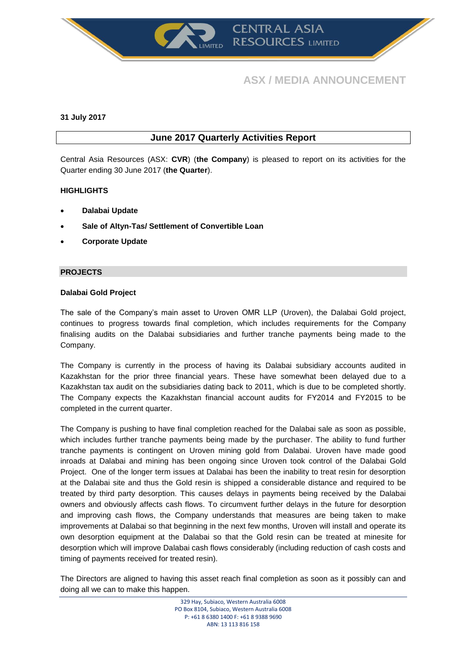

# **ASX / MEDIA ANNOUNCEMENT**

### **31 July 2017**

# **June 2017 Quarterly Activities Report**

Central Asia Resources (ASX: **CVR**) (**the Company**) is pleased to report on its activities for the Quarter ending 30 June 2017 (**the Quarter**).

# **HIGHLIGHTS**

- **Dalabai Update**
- **Sale of Altyn-Tas/ Settlement of Convertible Loan**
- **Corporate Update**

# **PROJECTS**

# **Dalabai Gold Project**

The sale of the Company's main asset to Uroven OMR LLP (Uroven), the Dalabai Gold project, continues to progress towards final completion, which includes requirements for the Company finalising audits on the Dalabai subsidiaries and further tranche payments being made to the Company.

The Company is currently in the process of having its Dalabai subsidiary accounts audited in Kazakhstan for the prior three financial years. These have somewhat been delayed due to a Kazakhstan tax audit on the subsidiaries dating back to 2011, which is due to be completed shortly. The Company expects the Kazakhstan financial account audits for FY2014 and FY2015 to be completed in the current quarter.

The Company is pushing to have final completion reached for the Dalabai sale as soon as possible, which includes further tranche payments being made by the purchaser. The ability to fund further tranche payments is contingent on Uroven mining gold from Dalabai. Uroven have made good inroads at Dalabai and mining has been ongoing since Uroven took control of the Dalabai Gold Project. One of the longer term issues at Dalabai has been the inability to treat resin for desorption at the Dalabai site and thus the Gold resin is shipped a considerable distance and required to be treated by third party desorption. This causes delays in payments being received by the Dalabai owners and obviously affects cash flows. To circumvent further delays in the future for desorption and improving cash flows, the Company understands that measures are being taken to make improvements at Dalabai so that beginning in the next few months, Uroven will install and operate its own desorption equipment at the Dalabai so that the Gold resin can be treated at minesite for desorption which will improve Dalabai cash flows considerably (including reduction of cash costs and timing of payments received for treated resin).

The Directors are aligned to having this asset reach final completion as soon as it possibly can and doing all we can to make this happen.